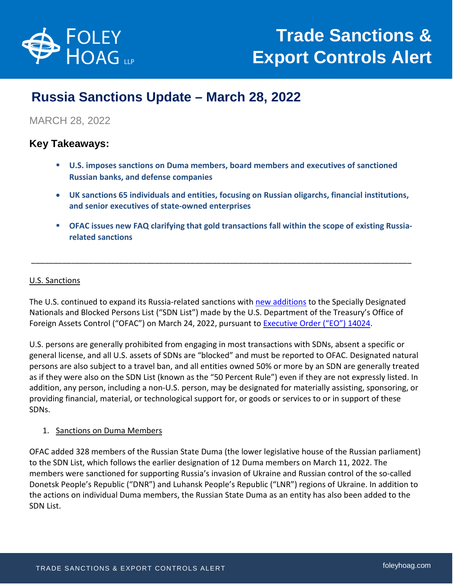

# **Russia Sanctions Update – March 28, 2022**

# MARCH 28, 2022

# **Key Takeaways:**

- **U.S. imposes sanctions on Duma members, board members and executives of sanctioned Russian banks, and defense companies**
- **UK sanctions 65 individuals and entities, focusing on Russian oligarchs, financial institutions, and senior executives of state-owned enterprises**
- **OFAC issues new FAQ clarifying that gold transactions fall within the scope of existing Russiarelated sanctions**

## U.S. Sanctions

The U.S. continued to expand its Russia-related sanctions with [new additions](https://www.state.gov/sanctioning-additional-members-of-russias-duma-russian-elites-bank-board-members-and-defense-entities/) to the Specially Designated Nationals and Blocked Persons List ("SDN List") made by the U.S. Department of the Treasury's Office of Foreign Assets Control ("OFAC") on March 24, 2022, pursuant to **Executive Order ("EO") 14024**.

\_\_\_\_\_\_\_\_\_\_\_\_\_\_\_\_\_\_\_\_\_\_\_\_\_\_\_\_\_\_\_\_\_\_\_\_\_\_\_\_\_\_\_\_\_\_\_\_\_\_\_\_\_\_\_\_\_\_\_\_\_\_\_\_\_\_\_\_\_\_\_\_\_\_\_\_\_\_\_\_\_\_\_\_\_\_

U.S. persons are generally prohibited from engaging in most transactions with SDNs, absent a specific or general license, and all U.S. assets of SDNs are "blocked" and must be reported to OFAC. Designated natural persons are also subject to a travel ban, and all entities owned 50% or more by an SDN are generally treated as if they were also on the SDN List (known as the "50 Percent Rule") even if they are not expressly listed. In addition, any person, including a non-U.S. person, may be designated for materially assisting, sponsoring, or providing financial, material, or technological support for, or goods or services to or in support of these SDNs.

#### 1. Sanctions on Duma Members

OFAC added 328 members of the Russian State Duma (the lower legislative house of the Russian parliament) to the SDN List, which follows the earlier designation of 12 Duma members on March 11, 2022. The members were sanctioned for supporting Russia's invasion of Ukraine and Russian control of the so-called Donetsk People's Republic ("DNR") and Luhansk People's Republic ("LNR") regions of Ukraine. In addition to the actions on individual Duma members, the Russian State Duma as an entity has also been added to the SDN List.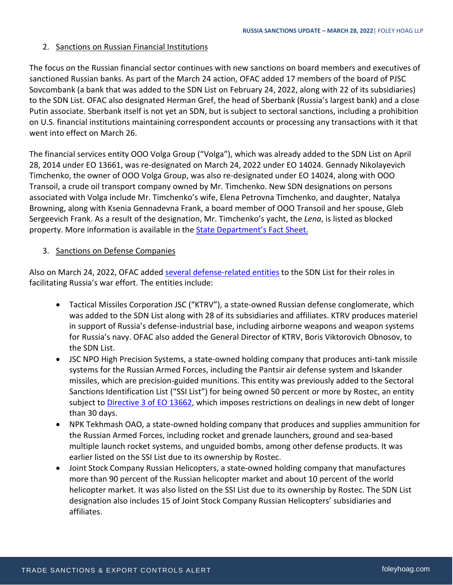#### 2. Sanctions on Russian Financial Institutions

The focus on the Russian financial sector continues with new sanctions on board members and executives of sanctioned Russian banks. As part of the March 24 action, OFAC added 17 members of the board of PJSC Sovcombank (a bank that was added to the SDN List on February 24, 2022, along with 22 of its subsidiaries) to the SDN List. OFAC also designated Herman Gref, the head of Sberbank (Russia's largest bank) and a close Putin associate. Sberbank itself is not yet an SDN, but is subject to sectoral sanctions, including a prohibition on U.S. financial institutions maintaining correspondent accounts or processing any transactions with it that went into effect on March 26.

The financial services entity OOO Volga Group ("Volga"), which was already added to the SDN List on April 28, 2014 under EO 13661, was re-designated on March 24, 2022 under EO 14024. Gennady Nikolayevich Timchenko, the owner of OOO Volga Group, was also re-designated under EO 14024, along with OOO Transoil, a crude oil transport company owned by Mr. Timchenko. New SDN designations on persons associated with Volga include Mr. Timchenko's wife, Elena Petrovna Timchenko, and daughter, Natalya Browning, along with Ksenia Gennadevna Frank, a board member of OOO Transoil and her spouse, Gleb Sergeevich Frank. As a result of the designation, Mr. Timchenko's yacht, the *Lena*, is listed as blocked property. More information is available in the **State Department's Fact Sheet.** 

#### 3. Sanctions on Defense Companies

Also on March 24, 2022, OFAC added [several defense-related entities](https://home.treasury.gov/news/press-releases/jy0677) to the SDN List for their roles in facilitating Russia's war effort. The entities include:

- Tactical Missiles Corporation JSC ("KTRV"), a state-owned Russian defense conglomerate, which was added to the SDN List along with 28 of its subsidiaries and affiliates. KTRV produces materiel in support of Russia's defense-industrial base, including airborne weapons and weapon systems for Russia's navy. OFAC also added the General Director of KTRV, Boris Viktorovich Obnosov, to the SDN List.
- JSC NPO High Precision Systems, a state-owned holding company that produces anti-tank missile systems for the Russian Armed Forces, including the Pantsir air defense system and Iskander missiles, which are precision-guided munitions. This entity was previously added to the Sectoral Sanctions Identification List ("SSI List") for being owned 50 percent or more by Rostec, an entity subject t[o Directive 3 of EO 13662,](https://home.treasury.gov/system/files/126/eo13662_directive3.pdf) which imposes restrictions on dealings in new debt of longer than 30 days.
- NPK Tekhmash OAO, a state-owned holding company that produces and supplies ammunition for the Russian Armed Forces, including rocket and grenade launchers, ground and sea-based multiple launch rocket systems, and unguided bombs, among other defense products. It was earlier listed on the SSI List due to its ownership by Rostec.
- Joint Stock Company Russian Helicopters, a state-owned holding company that manufactures more than 90 percent of the Russian helicopter market and about 10 percent of the world helicopter market. It was also listed on the SSI List due to its ownership by Rostec. The SDN List designation also includes 15 of Joint Stock Company Russian Helicopters' subsidiaries and affiliates.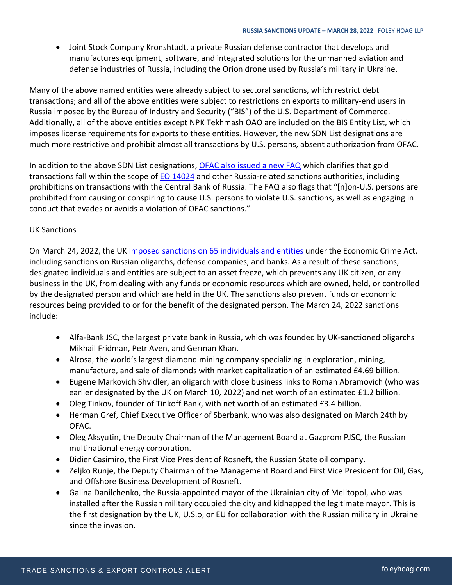Joint Stock Company Kronshtadt, a private Russian defense contractor that develops and manufactures equipment, software, and integrated solutions for the unmanned aviation and defense industries of Russia, including the Orion drone used by Russia's military in Ukraine.

Many of the above named entities were already subject to sectoral sanctions, which restrict debt transactions; and all of the above entities were subject to restrictions on exports to military-end users in Russia imposed by the Bureau of Industry and Security ("BIS") of the U.S. Department of Commerce. Additionally, all of the above entities except NPK Tekhmash OAO are included on the BIS Entity List, which imposes license requirements for exports to these entities. However, the new SDN List designations are much more restrictive and prohibit almost all transactions by U.S. persons, absent authorization from OFAC.

In addition to the above SDN List designations, [OFAC also issued a new FAQ](https://home.treasury.gov/policy-issues/financial-sanctions/faqs/1029) which clarifies that gold transactions fall within the scope of [EO 14024](https://home.treasury.gov/system/files/126/14024.pdf) and other Russia-related sanctions authorities, including prohibitions on transactions with the Central Bank of Russia. The FAQ also flags that "[n]on-U.S. persons are prohibited from causing or conspiring to cause U.S. persons to violate U.S. sanctions, as well as engaging in conduct that evades or avoids a violation of OFAC sanctions."

## UK Sanctions

On March 24, 2022, the UK [imposed sanctions on 65 individuals and entities](https://www.gov.uk/government/news/foreign-secretary-announces-65-new-russian-sanctions-to-cut-off-vital-industries-fuelling-putins-war-machine) under the Economic Crime Act, including sanctions on Russian oligarchs, defense companies, and banks. As a result of these sanctions, designated individuals and entities are subject to an asset freeze, which prevents any UK citizen, or any business in the UK, from dealing with any funds or economic resources which are owned, held, or controlled by the designated person and which are held in the UK. The sanctions also prevent funds or economic resources being provided to or for the benefit of the designated person. The March 24, 2022 sanctions include:

- Alfa-Bank JSC, the largest private bank in Russia, which was founded by UK-sanctioned oligarchs Mikhail Fridman, Petr Aven, and German Khan.
- Alrosa, the world's largest diamond mining company specializing in exploration, mining, manufacture, and sale of diamonds with market capitalization of an estimated £4.69 billion.
- Eugene Markovich Shvidler, an oligarch with close business links to Roman Abramovich (who was earlier designated by the UK on March 10, 2022) and net worth of an estimated £1.2 billion.
- Oleg Tinkov, founder of Tinkoff Bank, with net worth of an estimated £3.4 billion.
- Herman Gref, Chief Executive Officer of Sberbank, who was also designated on March 24th by OFAC.
- Oleg Aksyutin, the Deputy Chairman of the Management Board at Gazprom PJSC, the Russian multinational energy corporation.
- Didier Casimiro, the First Vice President of Rosneft, the Russian State oil company.
- Zeljko Runje, the Deputy Chairman of the Management Board and First Vice President for Oil, Gas, and Offshore Business Development of Rosneft.
- Galina Danilchenko, the Russia-appointed mayor of the Ukrainian city of Melitopol, who was installed after the Russian military occupied the city and kidnapped the legitimate mayor. This is the first designation by the UK, U.S.o, or EU for collaboration with the Russian military in Ukraine since the invasion.